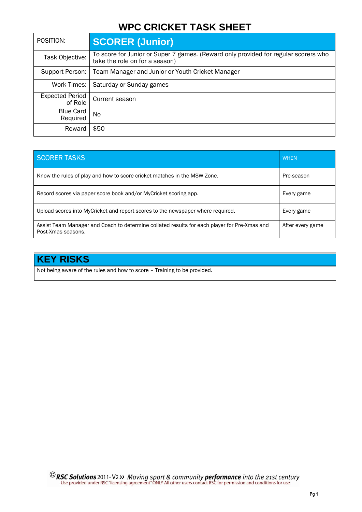# **WPC CRICKET TASK SHEET**

| POSITION:                         | <b>SCORER (Junior)</b>                                                                                                |
|-----------------------------------|-----------------------------------------------------------------------------------------------------------------------|
| Task Objective:                   | To score for Junior or Super 7 games. (Reward only provided for regular scorers who<br>take the role on for a season) |
| Support Person:                   | Team Manager and Junior or Youth Cricket Manager                                                                      |
| Work Times:                       | Saturday or Sunday games                                                                                              |
| <b>Expected Period</b><br>of Role | Current season                                                                                                        |
| <b>Blue Card</b><br>Required      | No.                                                                                                                   |
| Reward                            | \$50                                                                                                                  |

| <b>SCORER TASKS</b>                                                                                                | <b>WHEN</b>      |
|--------------------------------------------------------------------------------------------------------------------|------------------|
| Know the rules of play and how to score cricket matches in the MSW Zone.                                           | Pre-season       |
| Record scores via paper score book and/or MyCricket scoring app.                                                   | Every game       |
| Upload scores into MyCricket and report scores to the newspaper where required.                                    | Every game       |
| Assist Team Manager and Coach to determine collated results for each player for Pre-Xmas and<br>Post-Xmas seasons. | After every game |

## **KEY RISKS**

Not being aware of the rules and how to score – Training to be provided.